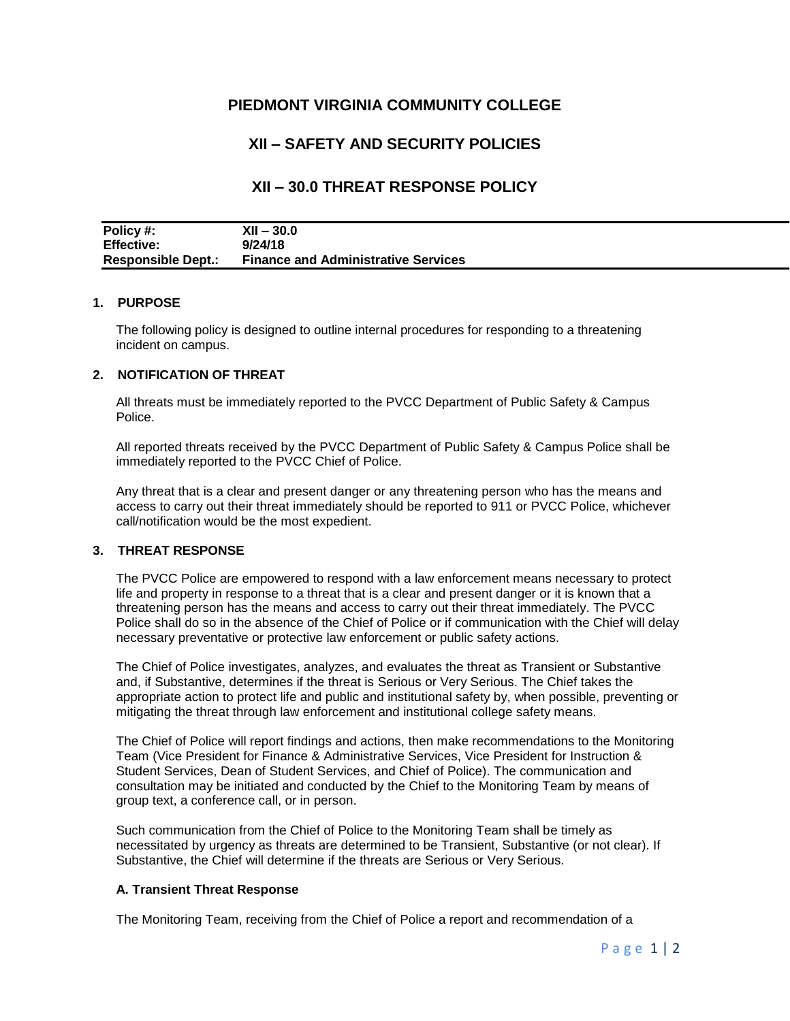## **PIEDMONT VIRGINIA COMMUNITY COLLEGE**

# **XII – SAFETY AND SECURITY POLICIES**

## **XII – 30.0 THREAT RESPONSE POLICY**

| Policy #:                 | $XII - 30.0$                               |
|---------------------------|--------------------------------------------|
| <b>Effective:</b>         | 9/24/18                                    |
| <b>Responsible Dept.:</b> | <b>Finance and Administrative Services</b> |

#### **1. PURPOSE**

The following policy is designed to outline internal procedures for responding to a threatening incident on campus.

#### **2. NOTIFICATION OF THREAT**

All threats must be immediately reported to the PVCC Department of Public Safety & Campus Police.

All reported threats received by the PVCC Department of Public Safety & Campus Police shall be immediately reported to the PVCC Chief of Police.

Any threat that is a clear and present danger or any threatening person who has the means and access to carry out their threat immediately should be reported to 911 or PVCC Police, whichever call/notification would be the most expedient.

### **3. THREAT RESPONSE**

The PVCC Police are empowered to respond with a law enforcement means necessary to protect life and property in response to a threat that is a clear and present danger or it is known that a threatening person has the means and access to carry out their threat immediately. The PVCC Police shall do so in the absence of the Chief of Police or if communication with the Chief will delay necessary preventative or protective law enforcement or public safety actions.

The Chief of Police investigates, analyzes, and evaluates the threat as Transient or Substantive and, if Substantive, determines if the threat is Serious or Very Serious. The Chief takes the appropriate action to protect life and public and institutional safety by, when possible, preventing or mitigating the threat through law enforcement and institutional college safety means.

The Chief of Police will report findings and actions, then make recommendations to the Monitoring Team (Vice President for Finance & Administrative Services, Vice President for Instruction & Student Services, Dean of Student Services, and Chief of Police). The communication and consultation may be initiated and conducted by the Chief to the Monitoring Team by means of group text, a conference call, or in person.

Such communication from the Chief of Police to the Monitoring Team shall be timely as necessitated by urgency as threats are determined to be Transient, Substantive (or not clear). If Substantive, the Chief will determine if the threats are Serious or Very Serious.

#### **A. Transient Threat Response**

The Monitoring Team, receiving from the Chief of Police a report and recommendation of a